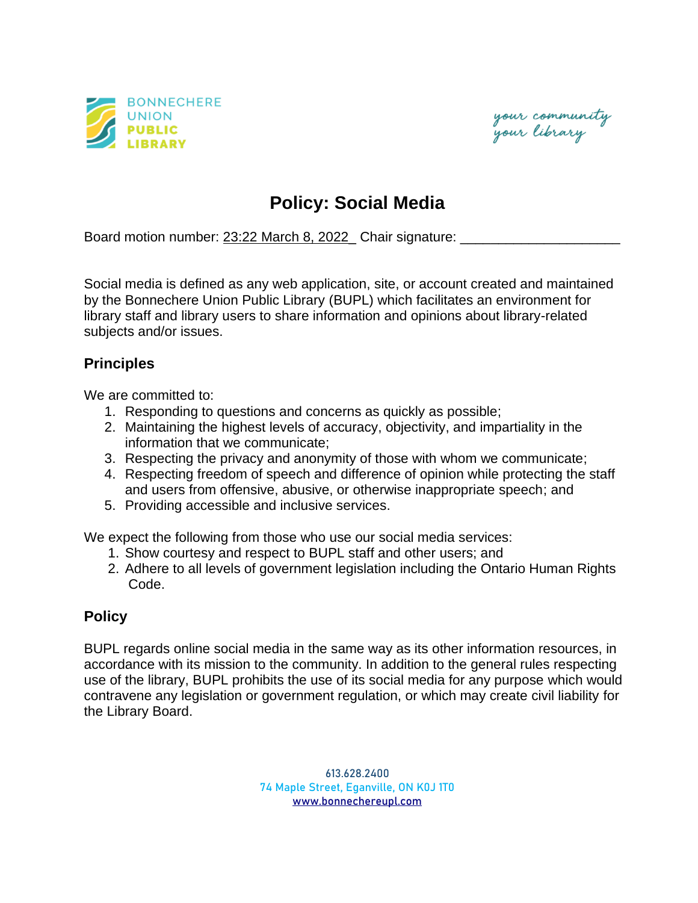



## **Policy: Social Media**

Board motion number: 23:22 March 8, 2022\_ Chair signature:

Social media is defined as any web application, site, or account created and maintained by the Bonnechere Union Public Library (BUPL) which facilitates an environment for library staff and library users to share information and opinions about library-related subjects and/or issues.

## **Principles**

We are committed to:

- 1. Responding to questions and concerns as quickly as possible;
- 2. Maintaining the highest levels of accuracy, objectivity, and impartiality in the information that we communicate;
- 3. Respecting the privacy and anonymity of those with whom we communicate;
- 4. Respecting freedom of speech and difference of opinion while protecting the staff and users from offensive, abusive, or otherwise inappropriate speech; and
- 5. Providing accessible and inclusive services.

We expect the following from those who use our social media services:

- 1. Show courtesy and respect to BUPL staff and other users; and
- 2. Adhere to all levels of government legislation including the Ontario Human Rights Code.

## **Policy**

BUPL regards online social media in the same way as its other information resources, in accordance with its mission to the community. In addition to the general rules respecting use of the library, BUPL prohibits the use of its social media for any purpose which would contravene any legislation or government regulation, or which may create civil liability for the Library Board.

> 613.628.2400 74 Maple Street, Eganville, ON K0J 1T0 [www.bonnechereupl.com](http://www.bonnechereupl.com/)